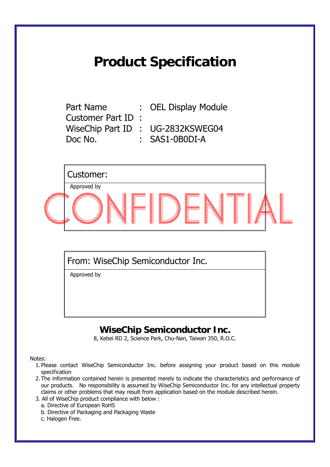## **Product Specification**

Customer Part ID : Doc No. : SAS1-0B0DI-A

Part Name : OEL Display Module

WiseChip Part ID : UG-2832KSWEG04

Customer: Approved by

From: WiseChip Semiconductor Inc.

Approved by

## **WiseChip Semiconductor Inc.**

8, Kebei RD 2, Science Park, Chu-Nan, Taiwan 350, R.O.C.

Notes:

- 1. Please contact WiseChip Semiconductor Inc. before assigning your product based on this module specification
- 2. The information contained herein is presented merely to indicate the characteristics and performance of our products. No responsibility is assumed by WiseChip Semiconductor Inc. for any intellectual property claims or other problems that may result from application based on the module described herein.
- 3. All of WiseChip product compliance with below :
	- a. Directive of European RoHS
	- b. Directive of Packaging and Packaging Waste
	- c. Halogen Free.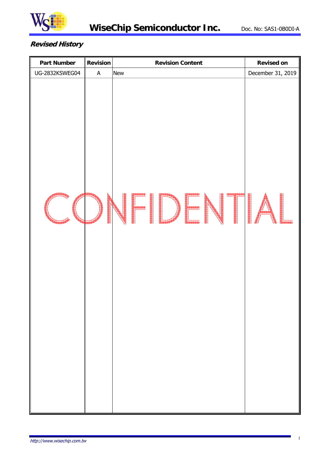

#### **Revised History**

| <b>Part Number</b> | <b>Revision</b>           | <b>Revision Content</b> | <b>Revised on</b> |
|--------------------|---------------------------|-------------------------|-------------------|
| UG-2832KSWEG04     | $\boldsymbol{\mathsf{A}}$ | New                     | December 31, 2019 |
|                    |                           | $\vdash \Box$           |                   |
|                    |                           |                         |                   |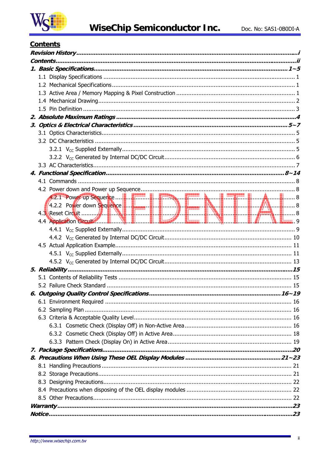

### **Contents**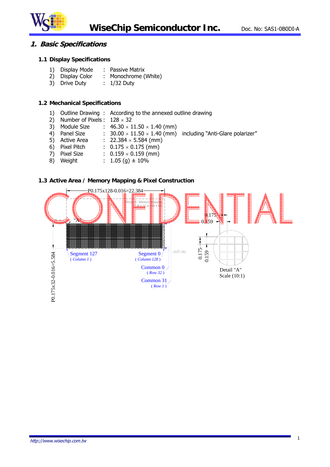

#### **1. Basic Specifications**

#### **1.1 Display Specifications**

- 1) Display Mode : Passive Matrix
- 2) Display Color : Monochrome (White)
- 3) Drive Duty : 1/32 Duty

#### **1.2 Mechanical Specifications**

- 1) Outline Drawing : According to the annexed outline drawing
- 2) Number of Pixels :  $128 \times 32$
- 3) Module Size :  $46.30 \times 11.50 \times 1.40$  (mm)
- 4) Panel Size  $\hspace{1cm} : \hspace{1cm} 30.00 \times 11.50 \times 1.40$  (mm)  $\hspace{1mm}$  including "Anti-Glare polarizer"
- 5) Active Area :  $22.384 \times 5.584$  (mm)
- 6) Pixel Pitch :  $0.175 \times 0.175$  (mm)
- 7) Pixel Size :  $0.159 \times 0.159$  (mm)
- 8) Weight :  $1.05$  (g)  $\pm$  10%

#### **1.3 Active Area / Memory Mapping & Pixel Construction**

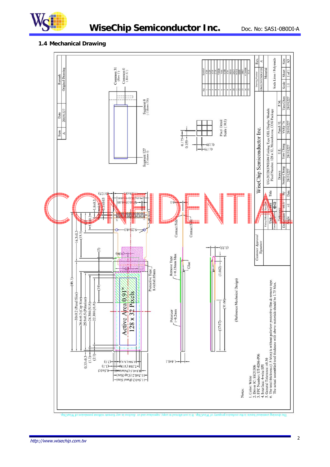

## **WiseChip Semiconductor Inc.** Doc. No: SAS1-0B0DI-A

#### **1.4 Mechanical Drawing**

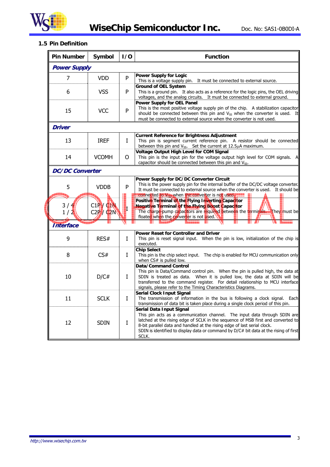

**WiseChip Semiconductor Inc.** Doc. No: SAS1-0B0DI-A

#### **1.5 Pin Definition**

| <b>Pin Number</b>      | Symbol                                   | 1/0 | <b>Function</b>                                                                                                                                                                                                                                                                                                                                                         |
|------------------------|------------------------------------------|-----|-------------------------------------------------------------------------------------------------------------------------------------------------------------------------------------------------------------------------------------------------------------------------------------------------------------------------------------------------------------------------|
| <b>Power Supply</b>    |                                          |     |                                                                                                                                                                                                                                                                                                                                                                         |
| 7                      | <b>VDD</b>                               | P   | <b>Power Supply for Logic</b><br>This is a voltage supply pin. It must be connected to external source.                                                                                                                                                                                                                                                                 |
| 6                      | <b>VSS</b>                               | P   | <b>Ground of OEL System</b><br>This is a ground pin. It also acts as a reference for the logic pins, the OEL driving<br>voltages, and the analog circuits. It must be connected to external ground.                                                                                                                                                                     |
| 15                     | <b>VCC</b>                               | P   | <b>Power Supply for OEL Panel</b><br>This is the most positive voltage supply pin of the chip. A stabilization capacitor<br>should be connected between this pin and $V_{SS}$ when the converter is used. It<br>must be connected to external source when the converter is not used.                                                                                    |
| <b>Driver</b>          |                                          |     |                                                                                                                                                                                                                                                                                                                                                                         |
| 13                     | <b>IREF</b>                              | L   | <b>Current Reference for Brightness Adjustment</b><br>This pin is segment current reference pin. A resistor should be connected<br>between this pin and V <sub>SS</sub> . Set the current at 12.5µA maximum.                                                                                                                                                            |
| 14                     | <b>VCOMH</b>                             | 0   | <b>Voltage Output High Level for COM Signal</b><br>This pin is the input pin for the voltage output high level for COM signals. $A$<br>capacitor should be connected between this pin and V <sub>SS</sub> .                                                                                                                                                             |
| <b>DC/DC Converter</b> |                                          |     |                                                                                                                                                                                                                                                                                                                                                                         |
| 5                      | <b>VDDB</b>                              | P   | Power Supply for DC/DC Converter Circuit<br>This is the power supply pin for the internal buffer of the DC/DC voltage converter.<br>It must be connected to external source when the converter is used. It should be<br>connected to V <sub>DD</sub> when the converter is not used.                                                                                    |
| 3/4<br>$1/\sqrt{2}$    | $C1$ P $V$ CIN<br>C2P / C <sub>2</sub> N | Г   | Positive Terminal of the Flying Inverting Capacitor<br>Negative Terminal of the Flying Boost Capacitor<br>The charge-pump capacitors are required between the terminals. They must be<br>floated when the converter is not used.                                                                                                                                        |
| <b>Interface</b>       |                                          |     |                                                                                                                                                                                                                                                                                                                                                                         |
| 9                      | RES#                                     | L   | <b>Power Reset for Controller and Driver</b><br>This pin is reset signal input. When the pin is low, initialization of the chip is<br>executed.                                                                                                                                                                                                                         |
| 8                      | CS#                                      | Ι   | <b>Chip Select</b><br>This pin is the chip select input. The chip is enabled for MCU communication only<br>when CS# is pulled low.                                                                                                                                                                                                                                      |
| 10                     | D/C#                                     | L   | <b>Data/Command Control</b><br>This pin is Data/Command control pin. When the pin is pulled high, the data at<br>SDIN is treated as data. When it is pulled low, the data at SDIN will be<br>transferred to the command register. For detail relationship to MCU interface<br>signals, please refer to the Timing Characteristics Diagrams.                             |
| 11                     | <b>SCLK</b>                              | I   | <b>Serial Clock Input Signal</b><br>The transmission of information in the bus is following a clock signal. Each<br>transmission of data bit is taken place during a single clock period of this pin.                                                                                                                                                                   |
| 12                     | <b>SDIN</b>                              | I   | Serial Data Input Signal<br>This pin acts as a communication channel. The input data through SDIN are<br>latched at the rising edge of SCLK in the sequence of MSB first and converted to<br>8-bit parallel data and handled at the rising edge of last serial clock.<br>SDIN is identified to display data or command by D/C# bit data at the rising of first<br>SCLK. |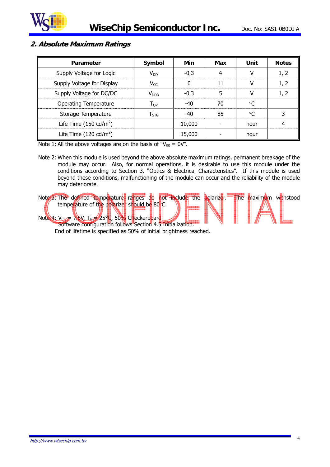

#### **2. Absolute Maximum Ratings**

| Parameter                        | Symbol                      | Min    | Max | Unit | <b>Notes</b> |
|----------------------------------|-----------------------------|--------|-----|------|--------------|
| Supply Voltage for Logic         | $V_{DD}$                    | $-0.3$ | 4   |      | 1, 2         |
| Supply Voltage for Display       | $V_{CC}$                    | 0      | 11  |      | 1, 2         |
| Supply Voltage for DC/DC         | V <sub>DDB</sub>            | $-0.3$ | 5   |      | 1, 2         |
| <b>Operating Temperature</b>     | $\mathsf{T}_{\mathsf{OP}}$  | $-40$  | 70  | °C   |              |
| Storage Temperature              | $\mathsf{T}_{\mathsf{STG}}$ | $-40$  | 85  | °C   | 3            |
| Life Time $(150 \text{ cd/m}^2)$ |                             | 10,000 |     | hour | 4            |
| Life Time $(120 \text{ cd/m}^2)$ |                             | 15,000 |     | hour |              |

Note 1: All the above voltages are on the basis of " $V_{SS} = 0V$ ".

Note 2: When this module is used beyond the above absolute maximum ratings, permanent breakage of the module may occur. Also, for normal operations, it is desirable to use this module under the conditions according to Section 3. "Optics & Electrical Characteristics". If this module is used beyond these conditions, malfunctioning of the module can occur and the reliability of the module may deteriorate.

Note 3: The defined temperature ranges do not include the polarizer. The maximum withstood temperature of the polarizer should be 80°C. Note 4: Vcc = 7.5V, Ta = 25°C, 50% Checkerboard Software configuration follows Section 4.5 Initialization.

End of lifetime is specified as 50% of initial brightness reached.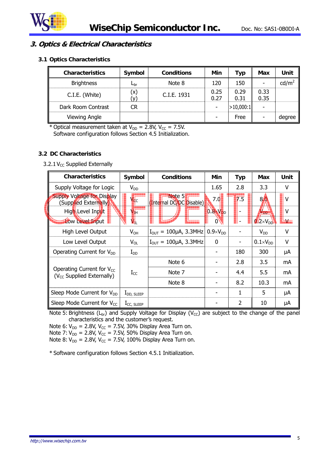

#### **3. Optics & Electrical Characteristics**

#### **3.1 Optics Characteristics**

| <b>Characteristics</b> | Symbol       | <b>Conditions</b> | Min          | Typ          | Max          | Unit            |
|------------------------|--------------|-------------------|--------------|--------------|--------------|-----------------|
| <b>Brightness</b>      | $L_{\rm br}$ | Note 8            | 120          | 150          |              | $\text{cd/m}^2$ |
| C.I.E. (White)         | (x)          | C.I.E. 1931       | 0.25<br>0.27 | 0.29<br>0.31 | 0.33<br>0.35 |                 |
| Dark Room Contrast     | CR           |                   |              | >10,000:1    |              |                 |
| Viewing Angle          |              |                   |              | Free         |              | degree          |

\* Optical measurement taken at  $V_{DD} = 2.8V$ ,  $V_{CC} = 7.5V$ . Software configuration follows Section 4.5 Initialization.

#### **3.2 DC Characteristics**

#### 3.2.1  $V_{CC}$  Supplied Externally

| <b>Characteristics</b>                                           | Symbol          | <b>Conditions</b>                     | Min                 | <b>Typ</b>       | Max                 | Unit                                                                                                                                                                                                                           |
|------------------------------------------------------------------|-----------------|---------------------------------------|---------------------|------------------|---------------------|--------------------------------------------------------------------------------------------------------------------------------------------------------------------------------------------------------------------------------|
| Supply Voltage for Logic                                         | $V_{DD}$        |                                       | 1.65                | 2.8              | 3.3                 | v                                                                                                                                                                                                                              |
| <b>Supply Voltage for Display</b><br>(Supplied Externally)       | V <sub>¢c</sub> | Note 5<br>(Internal DC/DC Disable)    | 7.0                 | $\overline{7.5}$ | 8 <sub>0</sub>      | V                                                                                                                                                                                                                              |
| High Level Input                                                 | $V_{\text{H}}$  |                                       | $0.8 \times V_{DD}$ |                  | V <sub>DD</sub>     | v                                                                                                                                                                                                                              |
| Low Level Input                                                  | V.              |                                       | 0                   |                  | $12\times V_{DD}$   | a kacamatan ing Kabupatèn Kabupatèn Kabupatèn Ing Kabupatèn Kabupatèn Kabupatèn Kabupatèn Kabupatèn Kabupatèn<br>Kabupatèn Kabupatèn Kabupatèn Kabupatèn Kabupatèn Kabupatèn Kabupatèn Kabupatèn Kabupatèn Kabupatèn Kabupatèn |
| High Level Output                                                | $V_{OH}$        | $I_{\text{OUT}} = 100 \mu A$ , 3.3MHz | $0.9\times V_{DD}$  |                  | $V_{DD}$            | v                                                                                                                                                                                                                              |
| Low Level Output                                                 | $V_{OL}$        | $I_{\text{OUT}} = 100 \mu A$ , 3.3MHz | 0                   | -                | $0.1 \times V_{DD}$ | V                                                                                                                                                                                                                              |
| Operating Current for $V_{DD}$                                   | $I_{DD}$        |                                       |                     | 180              | 300                 | μA                                                                                                                                                                                                                             |
|                                                                  |                 | Note 6                                |                     | 2.8              | 3.5                 | mA                                                                                                                                                                                                                             |
| Operating Current for $V_{CC}$<br>$(V_{CC}$ Supplied Externally) | $I_{CC}$        | Note 7                                |                     | 4.4              | 5.5                 | mA                                                                                                                                                                                                                             |
|                                                                  |                 | Note 8                                |                     | 8.2              | 10.3                | mA                                                                                                                                                                                                                             |
| Sleep Mode Current for V <sub>DD</sub>                           | $I_{DD, SLEEP}$ |                                       |                     | 1                | 5                   | μA                                                                                                                                                                                                                             |
| Sleep Mode Current for $V_{CC}$                                  | $I_{CC, SLEEP}$ |                                       |                     | 2                | 10                  | μA                                                                                                                                                                                                                             |

Note 5: Brightness ( $L_{br}$ ) and Supply Voltage for Display ( $V_{CC}$ ) are subject to the change of the panel characteristics and the customer's request.

Note 6:  $V_{DD}$  = 2.8V, V<sub>CC</sub> = 7.5V, 30% Display Area Turn on.

Note 7:  $V_{DD}$  = 2.8V,  $V_{CC}$  = 7.5V, 50% Display Area Turn on.

Note 8:  $V_{DD} = 2.8V$ ,  $V_{CC} = 7.5V$ , 100% Display Area Turn on.

\* Software configuration follows Section 4.5.1 Initialization.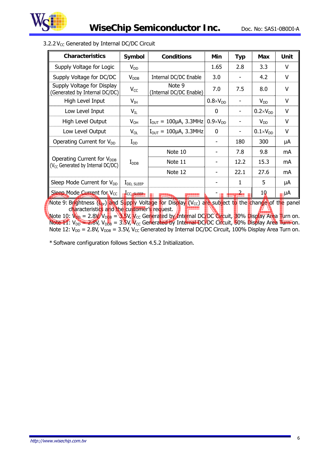

| <b>Characteristics</b>                                                                                                                                                                                                                                                                                                                                                                                                                             | Symbol                  | <b>Conditions</b>                     | Min                 | <b>Typ</b>     | <b>Max</b>          | Unit   |
|----------------------------------------------------------------------------------------------------------------------------------------------------------------------------------------------------------------------------------------------------------------------------------------------------------------------------------------------------------------------------------------------------------------------------------------------------|-------------------------|---------------------------------------|---------------------|----------------|---------------------|--------|
| Supply Voltage for Logic                                                                                                                                                                                                                                                                                                                                                                                                                           | $V_{DD}$                |                                       | 1.65                | 2.8            | 3.3                 | V      |
| Supply Voltage for DC/DC                                                                                                                                                                                                                                                                                                                                                                                                                           | <b>V</b> <sub>DDB</sub> | Internal DC/DC Enable                 | 3.0                 |                | 4.2                 | $\vee$ |
| Supply Voltage for Display<br>(Generated by Internal DC/DC)                                                                                                                                                                                                                                                                                                                                                                                        | $V_{CC}$                | Note 9<br>(Internal DC/DC Enable)     | 7.0                 | 7.5            | 8.0                 | V      |
| High Level Input                                                                                                                                                                                                                                                                                                                                                                                                                                   | $V_{IH}$                |                                       | $0.8 \times V_{DD}$ |                | $V_{DD}$            | V      |
| Low Level Input                                                                                                                                                                                                                                                                                                                                                                                                                                    | $V_{IL}$                |                                       | 0                   |                | $0.2 \times V_{DD}$ | V      |
| High Level Output                                                                                                                                                                                                                                                                                                                                                                                                                                  | $V_{OH}$                | $I_{\text{OUT}} = 100 \mu A$ , 3.3MHz | $0.9\times V_{DD}$  |                | $V_{DD}$            | V      |
| Low Level Output                                                                                                                                                                                                                                                                                                                                                                                                                                   | $V_{OL}$                | $I_{\text{OUT}} = 100 \mu A$ , 3.3MHz | 0                   |                | $0.1\times V_{DD}$  | V      |
| Operating Current for V <sub>DD</sub>                                                                                                                                                                                                                                                                                                                                                                                                              | $I_{DD}$                |                                       |                     | 180            | 300                 | μA     |
|                                                                                                                                                                                                                                                                                                                                                                                                                                                    |                         | Note 10                               |                     | 7.8            | 9.8                 | mA     |
| Operating Current for V <sub>DDB</sub><br>(V <sub>CC</sub> Generated by Internal DC/DC)                                                                                                                                                                                                                                                                                                                                                            | $\rm I_{\rm DDB}$       | Note 11                               |                     | 12.2           | 15.3                | mA     |
|                                                                                                                                                                                                                                                                                                                                                                                                                                                    |                         | Note 12                               |                     | 22.1           | 27.6                | mA     |
| Sleep Mode Current for V <sub>DD</sub>                                                                                                                                                                                                                                                                                                                                                                                                             | $I_{DD, SLEEP}$         |                                       |                     | 1              | 5                   | μA     |
| Sleep Mode Current for V <sub>CC</sub>                                                                                                                                                                                                                                                                                                                                                                                                             | CC, SLEEP               |                                       |                     | $\overline{a}$ | 10                  | µµA    |
| Note 9: Brightness (L <sub>br</sub> ) and Supply Voltage for Display (V <sub>cc</sub> ) are subject to the change of the panel<br>characteristics and the customer's request.<br>Note 10: $V_{\text{DA}} = 2.8 V / V_{\text{DB}} = 8.5 V$ , $V_{\text{CC}}$ Generated by Internal DC/DC Circuit, 30% Display Area Turn on.<br>Note 11: $V_{DD} = 2.8V$ , $V_{DB} = 3.5V$ , $V_{CC}$ Generated by Internal DC/DC Circuit, 50% Display Area Turn on. |                         |                                       |                     |                |                     |        |

Note 12:  $V_{DD} = 2.8V$ ,  $V_{DDB} = 3.5V$ ,  $V_{CC}$  Generated by Internal DC/DC Circuit, 100% Display Area Turn on.

#### 3.2.2  $V_{CC}$  Generated by Internal DC/DC Circuit

\* Software configuration follows Section 4.5.2 Initialization.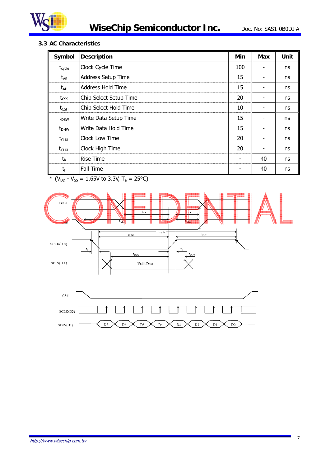

#### **3.3 AC Characteristics**

| Symbol             | <b>Description</b>     | Min | Max | Unit |
|--------------------|------------------------|-----|-----|------|
| $t_{\text{cycle}}$ | Clock Cycle Time       | 100 |     | ns   |
| $t_{AS}$           | Address Setup Time     | 15  |     | ns   |
| $t_{AH}$           | Address Hold Time      | 15  |     | ns   |
| $t_{\text{CSS}}$   | Chip Select Setup Time | 20  |     | ns   |
| $t_{\text{CSH}}$   | Chip Select Hold Time  | 10  |     | ns   |
| $t_{DSW}$          | Write Data Setup Time  | 15  |     | ns   |
| $t_{DHW}$          | Write Data Hold Time   | 15  |     | ns   |
| $t_{CLKL}$         | <b>Clock Low Time</b>  | 20  |     | ns   |
| $t_{CLKH}$         | Clock High Time        | 20  |     | ns   |
| $t_{R}$            | <b>Rise Time</b>       |     | 40  | ns   |
| $t_{\text{F}}$     | Fall Time              |     | 40  | ns   |

\* ( $V_{DD}$  -  $V_{SS}$  = 1.65V to 3.3V, T<sub>a</sub> = 25°C)



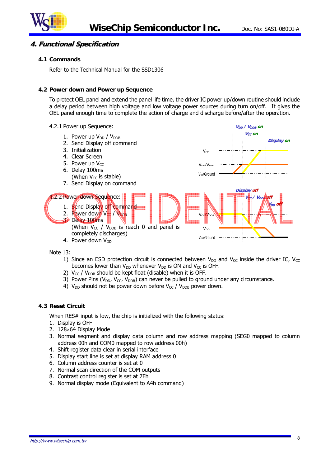

#### **4. Functional Specification**

#### **4.1 Commands**

Refer to the Technical Manual for the SSD1306

#### **4.2 Power down and Power up Sequence**

To protect OEL panel and extend the panel life time, the driver IC power up/down routine should include a delay period between high voltage and low voltage power sources during turn on/off. It gives the OEL panel enough time to complete the action of charge and discharge before/after the operation.



Note 13:

- 1) Since an ESD protection circuit is connected between  $V_{DD}$  and  $V_{CC}$  inside the driver IC,  $V_{CC}$ becomes lower than  $V_{DD}$  whenever  $V_{DD}$  is ON and  $V_{CC}$  is OFF.
- 2)  $V_{CC}$  /  $V_{DDB}$  should be kept float (disable) when it is OFF.
- 3) Power Pins ( $V_{DD}$ ,  $V_{CC}$ ,  $V_{DDB}$ ) can never be pulled to ground under any circumstance.
- 4)  $V_{DD}$  should not be power down before  $V_{CC}$  /  $V_{DDB}$  power down.

#### **4.3 Reset Circuit**

When RES# input is low, the chip is initialized with the following status:

- 1. Display is OFF
- 2. 128×64 Display Mode
- 3. Normal segment and display data column and row address mapping (SEG0 mapped to column address 00h and COM0 mapped to row address 00h)
- 4. Shift register data clear in serial interface
- 5. Display start line is set at display RAM address 0
- 6. Column address counter is set at 0
- 7. Normal scan direction of the COM outputs
- 8. Contrast control register is set at 7Fh
- 9. Normal display mode (Equivalent to A4h command)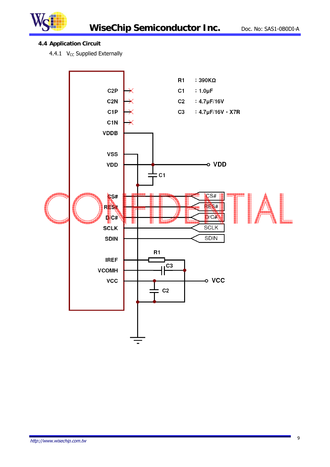

#### **4.4 Application Circuit**

4.4.1  $V_{CC}$  Supplied Externally

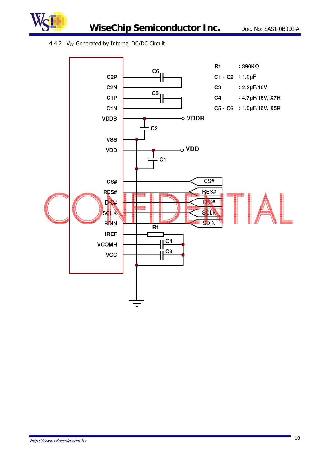



**WiseChip Semiconductor Inc.** Doc. No: SAS1-0B0DI-A

#### 4.4.2  $V_{CC}$  Generated by Internal DC/DC Circuit

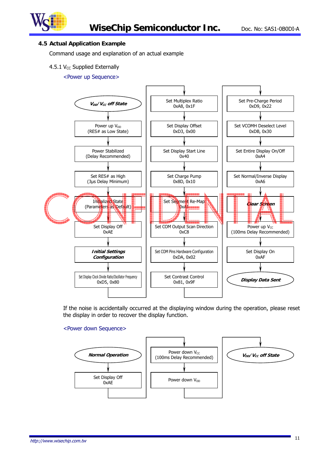

#### **4.5 Actual Application Example**

Command usage and explanation of an actual example

#### 4.5.1  $V_{CC}$  Supplied Externally

#### <Power up Sequence>



If the noise is accidentally occurred at the displaying window during the operation, please reset the display in order to recover the display function.

#### <Power down Sequence>

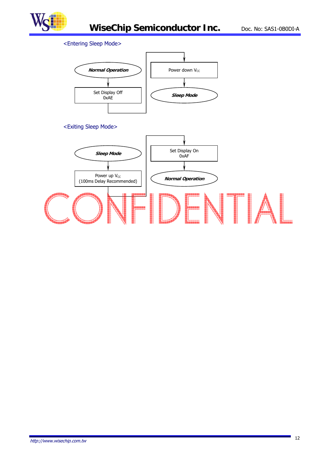

#### <Entering Sleep Mode>



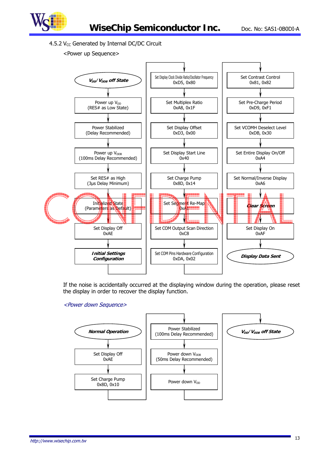

4.5.2  $V_{CC}$  Generated by Internal DC/DC Circuit

#### <Power up Sequence>



If the noise is accidentally occurred at the displaying window during the operation, please reset the display in order to recover the display function.

#### <Power down Sequence>

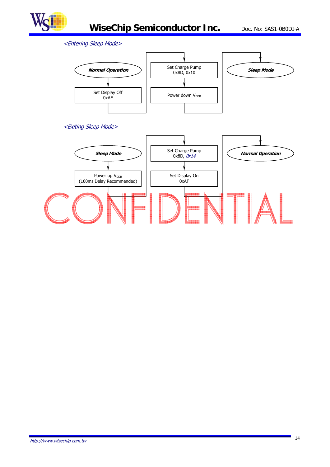

#### <Entering Sleep Mode>



#### <Exiting Sleep Mode>

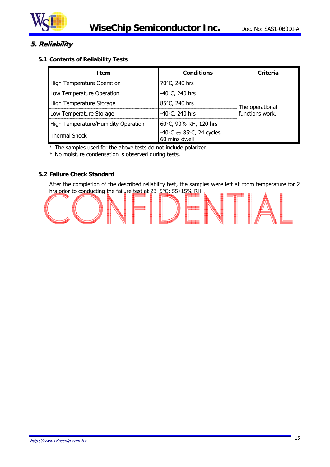

#### **5. Reliability**

#### **5.1 Contents of Reliability Tests**

| <b>Item</b>                         | <b>Conditions</b>                                                             | Criteria                           |  |
|-------------------------------------|-------------------------------------------------------------------------------|------------------------------------|--|
| High Temperature Operation          | 70°C, 240 hrs                                                                 |                                    |  |
| Low Temperature Operation           | -40 $\degree$ C, 240 hrs                                                      |                                    |  |
| High Temperature Storage            | 85°C, 240 hrs                                                                 | The operational<br>functions work. |  |
| Low Temperature Storage             | -40 $\degree$ C, 240 hrs                                                      |                                    |  |
| High Temperature/Humidity Operation | 60°C, 90% RH, 120 hrs                                                         |                                    |  |
| Thermal Shock                       | $-40^{\circ}$ C $\Leftrightarrow$ 85 $^{\circ}$ C, 24 cycles<br>60 mins dwell |                                    |  |

\* The samples used for the above tests do not include polarizer.

\* No moisture condensation is observed during tests.

#### **5.2 Failure Check Standard**

After the completion of the described reliability test, the samples were left at room temperature for 2 hrs prior to conducting the failure test at  $23 \pm 5^{\circ}$ C; 55 $\pm 15\%$  RH.

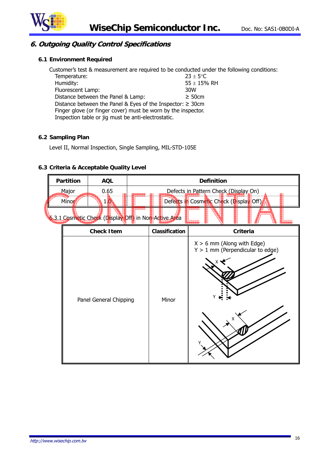

#### **6. Outgoing Quality Control Specifications**

#### **6.1 Environment Required**

Customer's test & measurement are required to be conducted under the following conditions: Temperature:  $23 \pm 5^{\circ}$ C Humidity:  $55 \pm 15\%$  RH Fluorescent Lamp:  $55 \pm 15\%$  RH Fluorescent Lamp: Distance between the Panel & Lamp:  $\geq 50$ cm Distance between the Panel & Eyes of the Inspector: ≥ 30cm Finger glove (or finger cover) must be worn by the inspector. Inspection table or jig must be anti-electrostatic.

#### **6.2 Sampling Plan**

Level II, Normal Inspection, Single Sampling, MIL-STD-105E

#### **6.3 Criteria & Acceptable Quality Level**

| Partition                                             |  | <b>AQL</b>             |  |                | <b>Definition</b>                                                         |  |  |  |
|-------------------------------------------------------|--|------------------------|--|----------------|---------------------------------------------------------------------------|--|--|--|
| Major                                                 |  | 0.65                   |  |                | Defects in Pattern Check (Display On)                                     |  |  |  |
| Minor                                                 |  | $1\mathbf{0}$          |  |                | Defects in Cosmetic Check (Display Off)                                   |  |  |  |
| 6.3.1 Cosmetic Check (Display Off) in Non-Active Area |  |                        |  |                |                                                                           |  |  |  |
|                                                       |  | <b>Check Item</b>      |  | Classification | Criteria                                                                  |  |  |  |
|                                                       |  | Panel General Chipping |  | Minor          | $X > 6$ mm (Along with Edge)<br>$Y > 1$ mm (Perpendicular to edge)<br>ہ Y |  |  |  |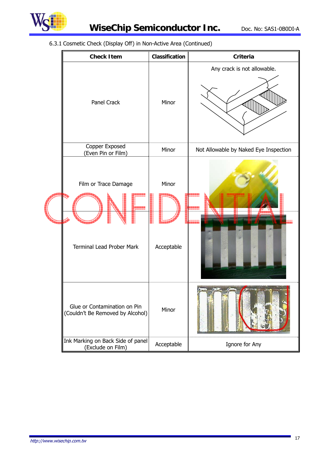

## **WiseChip Semiconductor Inc.** Doc. No: SAS1-0B0DI-A

6.3.1 Cosmetic Check (Display Off) in Non-Active Area (Continued)

| <b>Check Item</b>                                                | Classification      | <b>Criteria</b>                       |
|------------------------------------------------------------------|---------------------|---------------------------------------|
| Panel Crack                                                      | Minor               | Any crack is not allowable.           |
| Copper Exposed<br>(Even Pin or Film)                             | Minor               | Not Allowable by Naked Eye Inspection |
| Film or Trace Damage<br><b>Terminal Lead Prober Mark</b>         | Minor<br>Acceptable |                                       |
| Glue or Contamination on Pin<br>(Couldn't Be Removed by Alcohol) | Minor               |                                       |
| Ink Marking on Back Side of panel<br>(Exclude on Film)           | Acceptable          | Ignore for Any                        |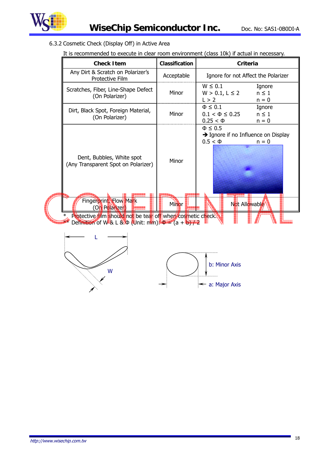

#### 6.3.2 Cosmetic Check (Display Off) in Active Area

|                                                                                                                           | <b>Check Item</b>                                                                                            | <b>Classification</b> | <b>Criteria</b>                                                                                                |  |  |  |
|---------------------------------------------------------------------------------------------------------------------------|--------------------------------------------------------------------------------------------------------------|-----------------------|----------------------------------------------------------------------------------------------------------------|--|--|--|
|                                                                                                                           | Any Dirt & Scratch on Polarizer's<br>Protective Film                                                         | Acceptable            | Ignore for not Affect the Polarizer                                                                            |  |  |  |
|                                                                                                                           | Scratches, Fiber, Line-Shape Defect<br>(On Polarizer)                                                        | Minor                 | $W \leq 0.1$<br>Ignore<br>$W > 0.1, L \le 2$<br>$n \leq 1$<br>L > 2<br>$n = 0$                                 |  |  |  |
|                                                                                                                           | Dirt, Black Spot, Foreign Material,<br>(On Polarizer)                                                        | Minor                 | $\Phi \leq 0.1$<br>Ignore<br>$0.1 < \Phi \leq 0.25$<br>$n \leq 1$<br>$0.25 < \Phi$<br>$n = 0$                  |  |  |  |
|                                                                                                                           | Dent, Bubbles, White spot<br>(Any Transparent Spot on Polarizer)<br>Fingerprint, Flow Mark<br>(On Polarizer) | Minor<br>Minor        | $\Phi \leq 0.5$<br>$\rightarrow$ Ignore if no Influence on Display<br>$0.5 < \Phi$<br>$n = 0$<br>Not Allowable |  |  |  |
| Protective film should not be tear off when cosmetic check<br>Definition of W & L & $\Phi$ (Unit: mm): $\Phi = (a + b)/2$ |                                                                                                              |                       |                                                                                                                |  |  |  |
|                                                                                                                           | W                                                                                                            |                       | b: Minor Axis<br>$\leftarrow$ a: Major Axis                                                                    |  |  |  |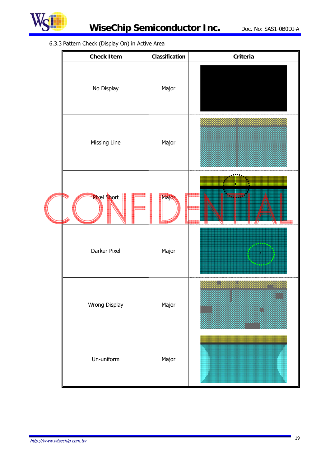

#### 6.3.3 Pattern Check (Display On) in Active Area

|  | <b>Check Item</b>  | Classification | Criteria |
|--|--------------------|----------------|----------|
|  | No Display         | Major          |          |
|  | Missing Line       | Major          |          |
|  | <b>Rixel Short</b> | Majon          | ٣I       |
|  | Darker Pixel       | Major          |          |
|  | Wrong Display      | Major          |          |
|  | Un-uniform         | Major          |          |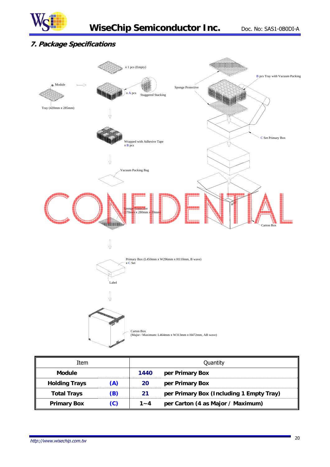

#### **7. Package Specifications**



| Item                 |     | Quantity |                                          |  |
|----------------------|-----|----------|------------------------------------------|--|
| <b>Module</b>        |     | 1440     | per Primary Box                          |  |
| <b>Holding Trays</b> | (A) | 20       | per Primary Box                          |  |
| <b>Total Trays</b>   | (B) | 21       | per Primary Box (Including 1 Empty Tray) |  |
| <b>Primary Box</b>   | (C) | $1 - 4$  | per Carton (4 as Major / Maximum)        |  |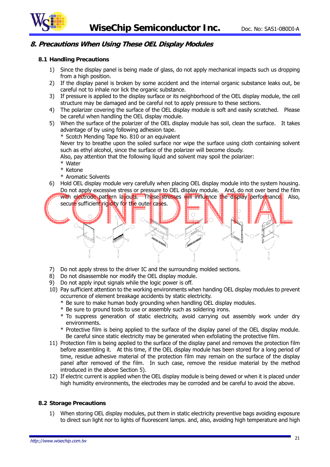

#### **8. Precautions When Using These OEL Display Modules**

#### **8.1 Handling Precautions**

- 1) Since the display panel is being made of glass, do not apply mechanical impacts such us dropping from a high position.
- 2) If the display panel is broken by some accident and the internal organic substance leaks out, be careful not to inhale nor lick the organic substance.
- 3) If pressure is applied to the display surface or its neighborhood of the OEL display module, the cell structure may be damaged and be careful not to apply pressure to these sections.
- 4) The polarizer covering the surface of the OEL display module is soft and easily scratched. Please be careful when handling the OEL display module.
- 5) When the surface of the polarizer of the OEL display module has soil, clean the surface. It takes advantage of by using following adhesion tape.

\* Scotch Mending Tape No. 810 or an equivalent

Never try to breathe upon the soiled surface nor wipe the surface using cloth containing solvent such as ethyl alcohol, since the surface of the polarizer will become cloudy.

Also, pay attention that the following liquid and solvent may spoil the polarizer:

- \* Water
- \* Ketone
- \* Aromatic Solvents
- 6) Hold OEL display module very carefully when placing OEL display module into the system housing. Do not apply excessive stress or pressure to OEL display module. And, do not over bend the film



- 7) Do not apply stress to the driver IC and the surrounding molded sections.
- 8) Do not disassemble nor modify the OEL display module.
- 9) Do not apply input signals while the logic power is off.
- 10) Pay sufficient attention to the working environments when handing OEL display modules to prevent occurrence of element breakage accidents by static electricity.
	- \* Be sure to make human body grounding when handling OEL display modules.
	- \* Be sure to ground tools to use or assembly such as soldering irons.
	- \* To suppress generation of static electricity, avoid carrying out assembly work under dry environments.
	- \* Protective film is being applied to the surface of the display panel of the OEL display module. Be careful since static electricity may be generated when exfoliating the protective film.
- 11) Protection film is being applied to the surface of the display panel and removes the protection film before assembling it. At this time, if the OEL display module has been stored for a long period of time, residue adhesive material of the protection film may remain on the surface of the display panel after removed of the film. In such case, remove the residue material by the method introduced in the above Section 5).
- 12) If electric current is applied when the OEL display module is being dewed or when it is placed under high humidity environments, the electrodes may be corroded and be careful to avoid the above.

#### **8.2 Storage Precautions**

1) When storing OEL display modules, put them in static electricity preventive bags avoiding exposure to direct sun light nor to lights of fluorescent lamps. and, also, avoiding high temperature and high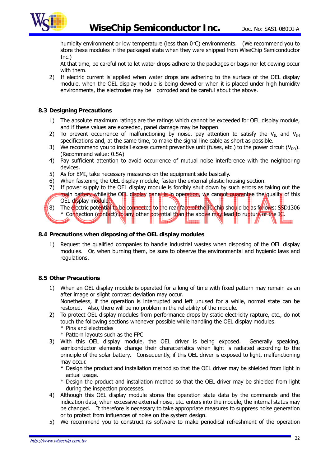

humidity environment or low temperature (less than  $0^{\circ}$ C) environments. (We recommend you to store these modules in the packaged state when they were shipped from WiseChip Semiconductor Inc.)

At that time, be careful not to let water drops adhere to the packages or bags nor let dewing occur with them.

2) If electric current is applied when water drops are adhering to the surface of the OEL display module, when the OEL display module is being dewed or when it is placed under high humidity environments, the electrodes may be corroded and be careful about the above.

#### **8.3 Designing Precautions**

- 1) The absolute maximum ratings are the ratings which cannot be exceeded for OEL display module, and if these values are exceeded, panel damage may be happen.
- 2) To prevent occurrence of malfunctioning by noise, pay attention to satisfy the  $V_{\text{IL}}$  and  $V_{\text{IH}}$ specifications and, at the same time, to make the signal line cable as short as possible.
- 3) We recommend you to install excess current preventive unit (fuses, etc.) to the power circuit ( $V_{DD}$ ). (Recommend value: 0.5A)
- 4) Pay sufficient attention to avoid occurrence of mutual noise interference with the neighboring devices.
- 5) As for EMI, take necessary measures on the equipment side basically.
- 6) When fastening the OEL display module, fasten the external plastic housing section.
- 7) If power supply to the OEL display module is forcibly shut down by such errors as taking out the main battery while the OEL display panel is in operation, we cannot quarantee the quality of this
- OEL display module. 8) The electric potential to be connected to the real face of the IC chip should be as follows: SSD1306 \* Connection (contact) to any other potential than the above may lead to rupture of the IC. **1.**<br>11. mars - Antonio

#### **8.4 Precautions when disposing of the OEL display modules**

1) Request the qualified companies to handle industrial wastes when disposing of the OEL display modules. Or, when burning them, be sure to observe the environmental and hygienic laws and regulations.

#### **8.5 Other Precautions**

- 1) When an OEL display module is operated for a long of time with fixed pattern may remain as an after image or slight contrast deviation may occur. Nonetheless, if the operation is interrupted and left unused for a while, normal state can be restored. Also, there will be no problem in the reliability of the module.
- 2) To protect OEL display modules from performance drops by static electricity rapture, etc., do not touch the following sections whenever possible while handling the OEL display modules. \* Pins and electrodes
	- \* Pattern layouts such as the FPC
- 3) With this OEL display module, the OEL driver is being exposed. Generally speaking, semiconductor elements change their characteristics when light is radiated according to the principle of the solar battery. Consequently, if this OEL driver is exposed to light, malfunctioning may occur.
	- \* Design the product and installation method so that the OEL driver may be shielded from light in actual usage.
	- \* Design the product and installation method so that the OEL driver may be shielded from light during the inspection processes.
- 4) Although this OEL display module stores the operation state data by the commands and the indication data, when excessive external noise, etc. enters into the module, the internal status may be changed. It therefore is necessary to take appropriate measures to suppress noise generation or to protect from influences of noise on the system design.
- 5) We recommend you to construct its software to make periodical refreshment of the operation